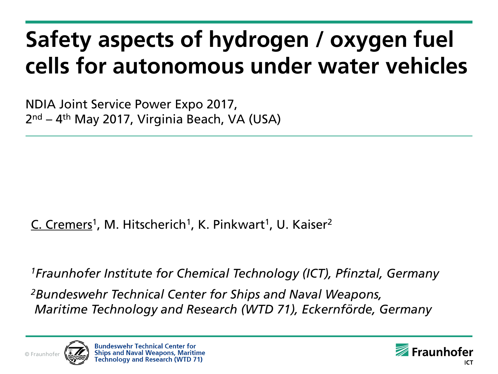# **Safety aspects of hydrogen / oxygen fuel cells for autonomous under water vehicles**

NDIA Joint Service Power Expo 2017, 2<sup>nd</sup> – 4<sup>th</sup> May 2017, Virginia Beach, VA (USA)

#### C. Cremers<sup>1</sup>, M. Hitscherich<sup>1</sup>, K. Pinkwart<sup>1</sup>, U. Kaiser<sup>2</sup>

*<sup>1</sup>Fraunhofer Institute for Chemical Technology (ICT), Pfinztal, Germany*

*<sup>2</sup>Bundeswehr Technical Center for Ships and Naval Weapons, Maritime Technology and Research (WTD 71), Eckernförde, Germany*



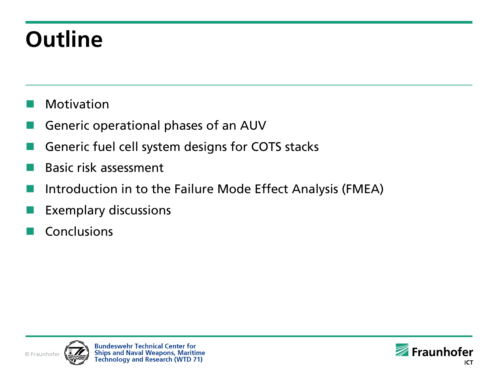# **Outline**

- Motivation
- Generic operational phases of an AUV
- Generic fuel cell system designs for COTS stacks
- Basic risk assessment
- Introduction in to the Failure Mode Effect Analysis (FMEA)
- Exemplary discussions
- Conclusions



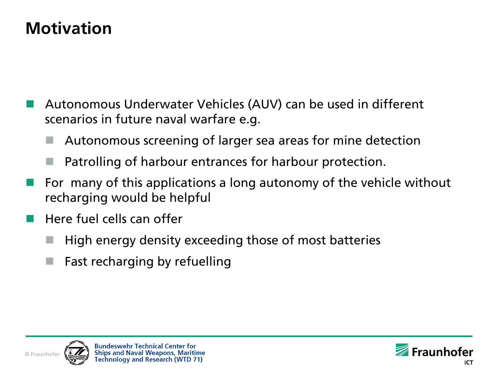#### **Motivation**

- Autonomous Underwater Vehicles (AUV) can be used in different scenarios in future naval warfare e.g.
	- Autonomous screening of larger sea areas for mine detection
	- Patrolling of harbour entrances for harbour protection.
- For many of this applications a long autonomy of the vehicle without recharging would be helpful
- Here fuel cells can offer
	- High energy density exceeding those of most batteries
	- Fast recharging by refuelling



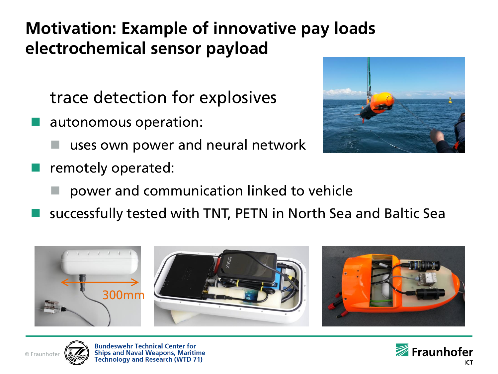#### **Motivation: Example of innovative pay loads electrochemical sensor payload**

trace detection for explosives

- autonomous operation:
	- uses own power and neural network
- remotely operated:



- power and communication linked to vehicle
- successfully tested with TNT, PETN in North Sea and Baltic Sea





**Bundeswehr Technical Center for Ships and Naval Weapons, Maritime Fechnology and Research (WTD 71)** 

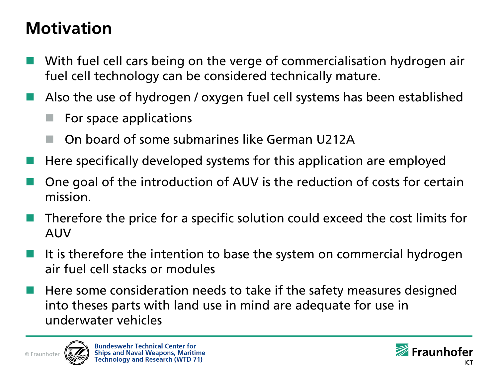#### **Motivation**

- With fuel cell cars being on the verge of commercialisation hydrogen air fuel cell technology can be considered technically mature.
- Also the use of hydrogen / oxygen fuel cell systems has been established
	- For space applications
	- On board of some submarines like German U212A
- Here specifically developed systems for this application are employed
- One goal of the introduction of AUV is the reduction of costs for certain mission.
- Therefore the price for a specific solution could exceed the cost limits for AUV
- It is therefore the intention to base the system on commercial hydrogen air fuel cell stacks or modules
- Here some consideration needs to take if the safety measures designed into theses parts with land use in mind are adequate for use in underwater vehicles



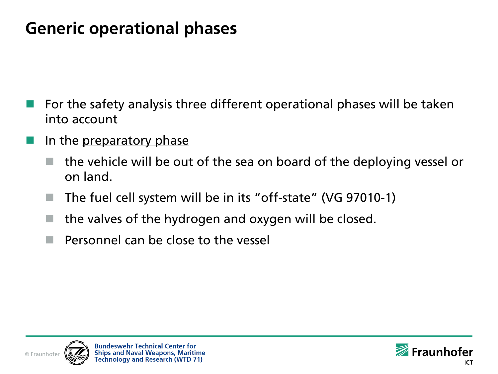#### **Generic operational phases**

- For the safety analysis three different operational phases will be taken into account
- In the <u>preparatory</u> phase
	- the vehicle will be out of the sea on board of the deploying vessel or on land.
	- The fuel cell system will be in its "off-state" (VG 97010-1)
	- the valves of the hydrogen and oxygen will be closed.
	- Personnel can be close to the vessel



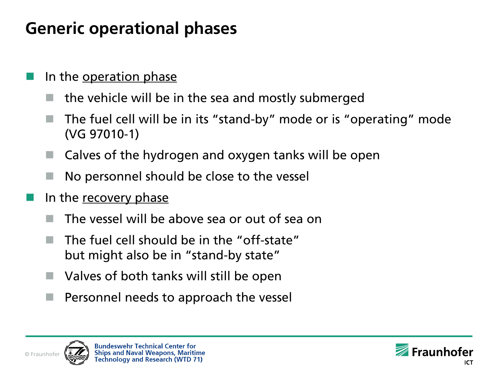#### **Generic operational phases**

- In the operation phase
	- the vehicle will be in the sea and mostly submerged
	- The fuel cell will be in its "stand-by" mode or is "operating" mode (VG 97010-1)
	- Calves of the hydrogen and oxygen tanks will be open
	- No personnel should be close to the vessel
- In the recovery phase
	- The vessel will be above sea or out of sea on
	- The fuel cell should be in the "off-state" but might also be in "stand-by state"
	- Valves of both tanks will still be open
	- Personnel needs to approach the vessel



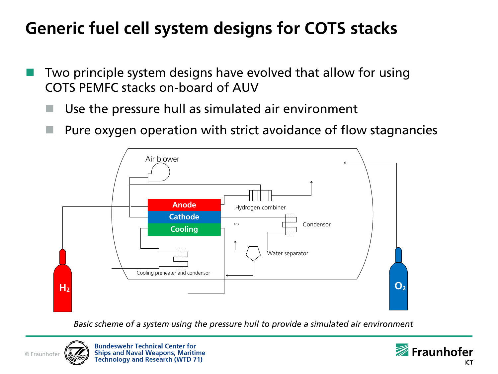### **Generic fuel cell system designs for COTS stacks**

- Two principle system designs have evolved that allow for using COTS PEMFC stacks on-board of AUV
	- Use the pressure hull as simulated air environment
	- Pure oxygen operation with strict avoidance of flow stagnancies



*Basic scheme of a system using the pressure hull to provide a simulated air environment*



**Bundeswehr Technical Center for Ships and Naval Weapons, Maritime Technology and Research (WTD 71)** 

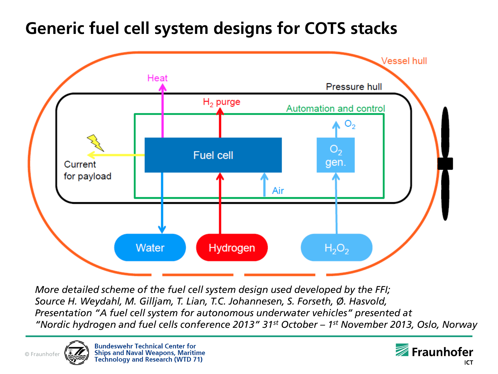#### **Generic fuel cell system designs for COTS stacks**



*More detailed scheme of the fuel cell system design used developed by the FFI; Source H. Weydahl, M. Gilljam, T. Lian, T.C. Johannesen, S. Forseth, Ø. Hasvold, Presentation "A fuel cell system for autonomous underwater vehicles" presented at "Nordic hydrogen and fuel cells conference 2013" 31st October – 1 st November 2013, Oslo, Norway*



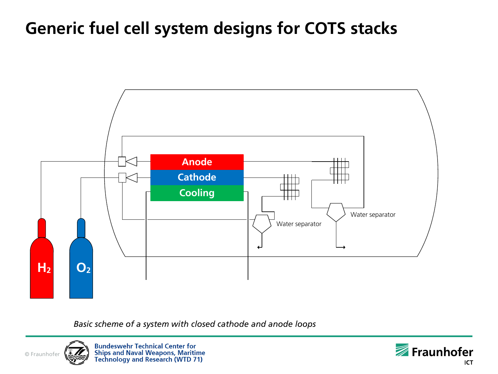#### **Generic fuel cell system designs for COTS stacks**



*Basic scheme of a system with closed cathode and anode loops*



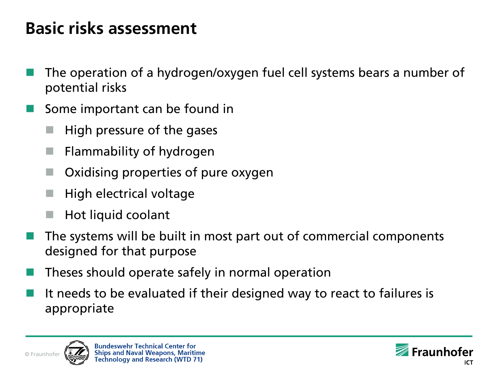#### **Basic risks assessment**

- The operation of a hydrogen/oxygen fuel cell systems bears a number of potential risks
- Some important can be found in
	- High pressure of the gases
	- Flammability of hydrogen
	- Oxidising properties of pure oxygen
	- High electrical voltage
	- Hot liquid coolant
- The systems will be built in most part out of commercial components designed for that purpose
- Theses should operate safely in normal operation
- It needs to be evaluated if their designed way to react to failures is appropriate



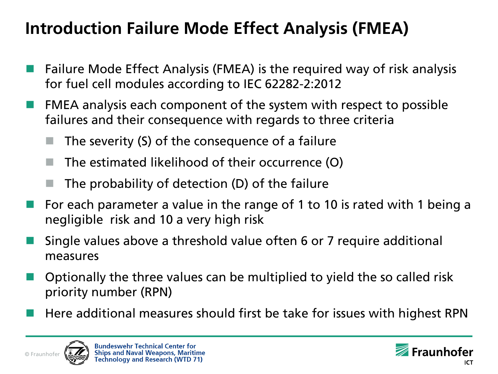### **Introduction Failure Mode Effect Analysis (FMEA)**

- Failure Mode Effect Analysis (FMEA) is the required way of risk analysis for fuel cell modules according to IEC 62282-2:2012
- FMEA analysis each component of the system with respect to possible failures and their consequence with regards to three criteria
	- The severity (S) of the consequence of a failure
	- The estimated likelihood of their occurrence (O)
	- The probability of detection (D) of the failure
- For each parameter a value in the range of 1 to 10 is rated with 1 being a negligible risk and 10 a very high risk
- Single values above a threshold value often 6 or 7 require additional measures
- Optionally the three values can be multiplied to yield the so called risk priority number (RPN)
- Here additional measures should first be take for issues with highest RPN



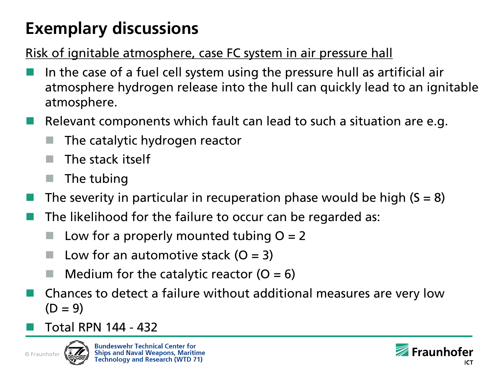#### Risk of ignitable atmosphere, case FC system in air pressure hall

- In the case of a fuel cell system using the pressure hull as artificial air atmosphere hydrogen release into the hull can quickly lead to an ignitable atmosphere.
- Relevant components which fault can lead to such a situation are e.g.
	- The catalytic hydrogen reactor
	- The stack itself
	- The tubing
- The severity in particular in recuperation phase would be high  $(S = 8)$
- The likelihood for the failure to occur can be regarded as:
	- Low for a properly mounted tubing  $O = 2$
	- Low for an automotive stack  $(O = 3)$
	- Medium for the catalytic reactor  $(O = 6)$
- Chances to detect a failure without additional measures are very low  $(D = 9)$
- Total RPN 144 432



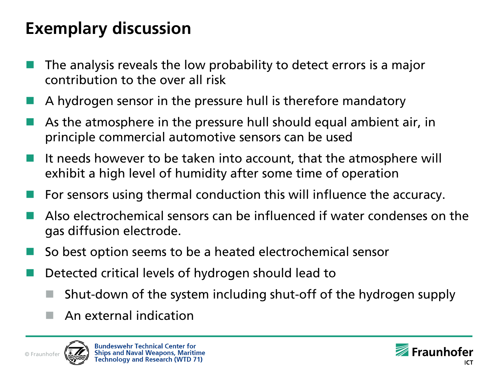- The analysis reveals the low probability to detect errors is a major contribution to the over all risk
- A hydrogen sensor in the pressure hull is therefore mandatory
- As the atmosphere in the pressure hull should equal ambient air, in principle commercial automotive sensors can be used
- It needs however to be taken into account, that the atmosphere will exhibit a high level of humidity after some time of operation
- For sensors using thermal conduction this will influence the accuracy.
- Also electrochemical sensors can be influenced if water condenses on the gas diffusion electrode.
- So best option seems to be a heated electrochemical sensor
- Detected critical levels of hydrogen should lead to
	- Shut-down of the system including shut-off of the hydrogen supply
	- An external indication



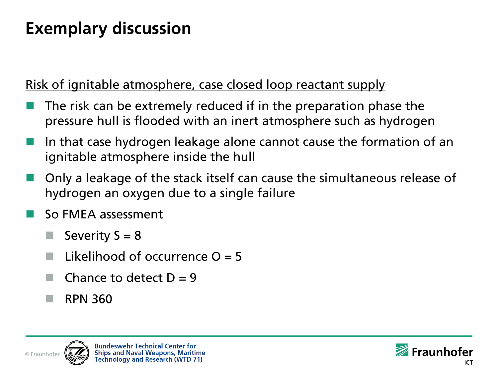Risk of ignitable atmosphere, case closed loop reactant supply

- The risk can be extremely reduced if in the preparation phase the pressure hull is flooded with an inert atmosphere such as hydrogen
- In that case hydrogen leakage alone cannot cause the formation of an ignitable atmosphere inside the hull
- Only a leakage of the stack itself can cause the simultaneous release of hydrogen an oxygen due to a single failure
- So FMEA assessment
	- Severity  $S = 8$
	- Likelihood of occurrence  $Q = 5$
	- Chance to detect  $D = 9$
	- RPN 360



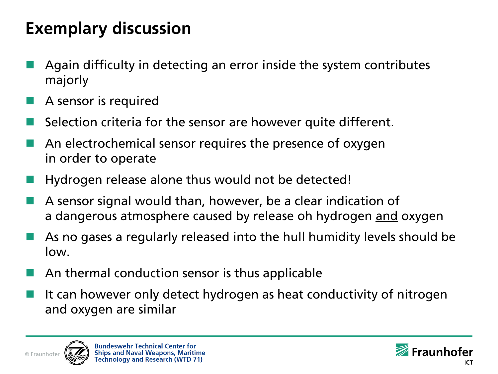- Again difficulty in detecting an error inside the system contributes majorly
- A sensor is required
- Selection criteria for the sensor are however quite different.
- An electrochemical sensor requires the presence of oxygen in order to operate
- Hydrogen release alone thus would not be detected!
- A sensor signal would than, however, be a clear indication of a dangerous atmosphere caused by release oh hydrogen and oxygen
- As no gases a regularly released into the hull humidity levels should be low.
- An thermal conduction sensor is thus applicable
- It can however only detect hydrogen as heat conductivity of nitrogen and oxygen are similar



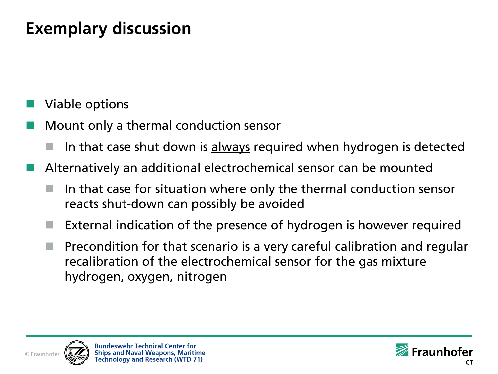Viable options

- Mount only a thermal conduction sensor
	- In that case shut down is always required when hydrogen is detected
- Alternatively an additional electrochemical sensor can be mounted
	- In that case for situation where only the thermal conduction sensor reacts shut-down can possibly be avoided
	- External indication of the presence of hydrogen is however required
	- Precondition for that scenario is a very careful calibration and regular recalibration of the electrochemical sensor for the gas mixture hydrogen, oxygen, nitrogen



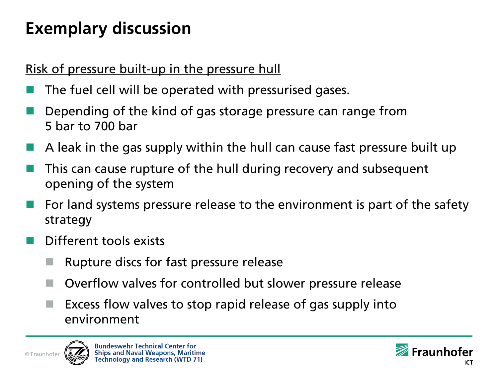#### Risk of pressure built-up in the pressure hull

- The fuel cell will be operated with pressurised gases.
- Depending of the kind of gas storage pressure can range from 5 bar to 700 bar
- A leak in the gas supply within the hull can cause fast pressure built up
- This can cause rupture of the hull during recovery and subsequent opening of the system
- For land systems pressure release to the environment is part of the safety strategy
- Different tools exists
	- Rupture discs for fast pressure release
	- Overflow valves for controlled but slower pressure release
	- Excess flow valves to stop rapid release of gas supply into environment



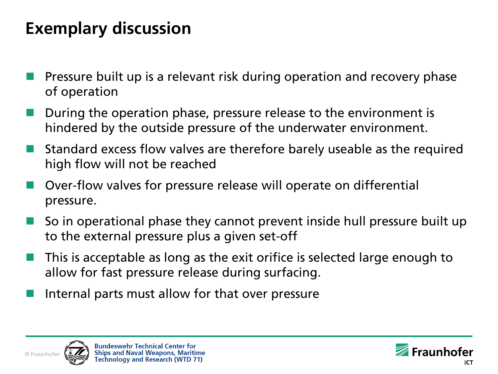- Pressure built up is a relevant risk during operation and recovery phase of operation
- During the operation phase, pressure release to the environment is hindered by the outside pressure of the underwater environment.
- Standard excess flow valves are therefore barely useable as the required high flow will not be reached
- Over-flow valves for pressure release will operate on differential pressure.
- So in operational phase they cannot prevent inside hull pressure built up to the external pressure plus a given set-off
- This is acceptable as long as the exit orifice is selected large enough to allow for fast pressure release during surfacing.
- Internal parts must allow for that over pressure



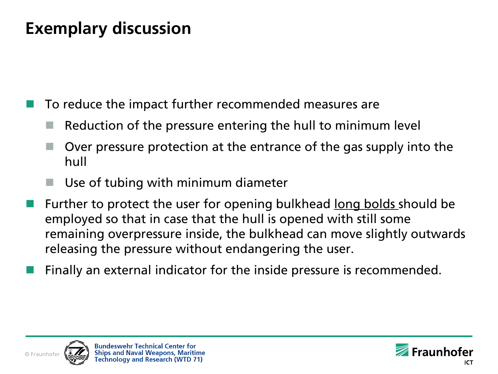To reduce the impact further recommended measures are

- Reduction of the pressure entering the hull to minimum level
- Over pressure protection at the entrance of the gas supply into the hull
- Use of tubing with minimum diameter
- Further to protect the user for opening bulkhead long bolds should be employed so that in case that the hull is opened with still some remaining overpressure inside, the bulkhead can move slightly outwards releasing the pressure without endangering the user.
- Finally an external indicator for the inside pressure is recommended.



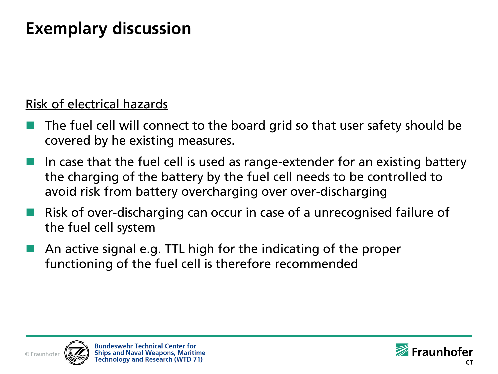#### Risk of electrical hazards

- The fuel cell will connect to the board grid so that user safety should be covered by he existing measures.
- In case that the fuel cell is used as range-extender for an existing battery the charging of the battery by the fuel cell needs to be controlled to avoid risk from battery overcharging over over-discharging
- Risk of over-discharging can occur in case of a unrecognised failure of the fuel cell system
- An active signal e.g. TTL high for the indicating of the proper functioning of the fuel cell is therefore recommended



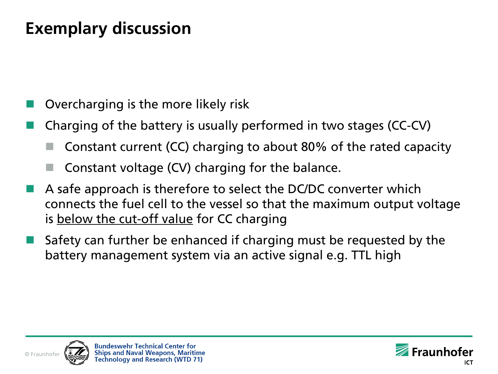Overcharging is the more likely risk

- Charging of the battery is usually performed in two stages (CC-CV)
	- Constant current (CC) charging to about 80% of the rated capacity
	- Constant voltage (CV) charging for the balance.
- A safe approach is therefore to select the DC/DC converter which connects the fuel cell to the vessel so that the maximum output voltage is below the cut-off value for CC charging
- Safety can further be enhanced if charging must be requested by the battery management system via an active signal e.g. TTL high



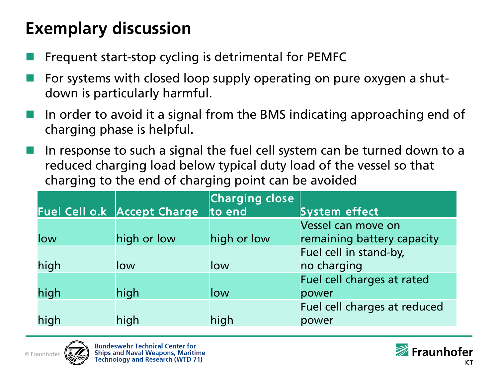- Frequent start-stop cycling is detrimental for PEMFC
- For systems with closed loop supply operating on pure oxygen a shutdown is particularly harmful.
- In order to avoid it a signal from the BMS indicating approaching end of charging phase is helpful.
- In response to such a signal the fuel cell system can be turned down to a reduced charging load below typical duty load of the vessel so that charging to the end of charging point can be avoided

|      | Fuel Cell o.k Accept Charge | <b>Charging close</b><br>lto end | System effect                |
|------|-----------------------------|----------------------------------|------------------------------|
|      |                             |                                  | Vessel can move on           |
| low  | high or low                 | high or low                      | remaining battery capacity   |
|      |                             |                                  | Fuel cell in stand-by,       |
| high | low                         | low                              | no charging                  |
|      |                             |                                  | Fuel cell charges at rated   |
| high | high                        | llow                             | power                        |
|      |                             |                                  | Fuel cell charges at reduced |
| high | high                        | high                             | power                        |



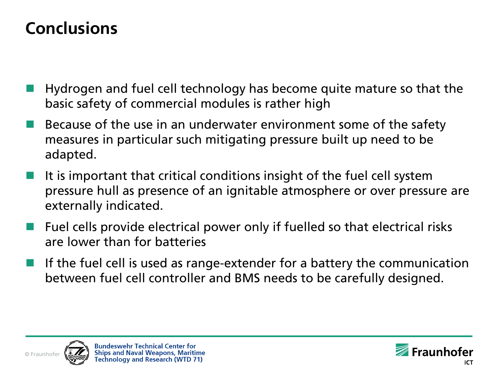#### **Conclusions**

- Hydrogen and fuel cell technology has become quite mature so that the basic safety of commercial modules is rather high
- Because of the use in an underwater environment some of the safety measures in particular such mitigating pressure built up need to be adapted.
- It is important that critical conditions insight of the fuel cell system pressure hull as presence of an ignitable atmosphere or over pressure are externally indicated.
- Fuel cells provide electrical power only if fuelled so that electrical risks are lower than for batteries
- If the fuel cell is used as range-extender for a battery the communication between fuel cell controller and BMS needs to be carefully designed.